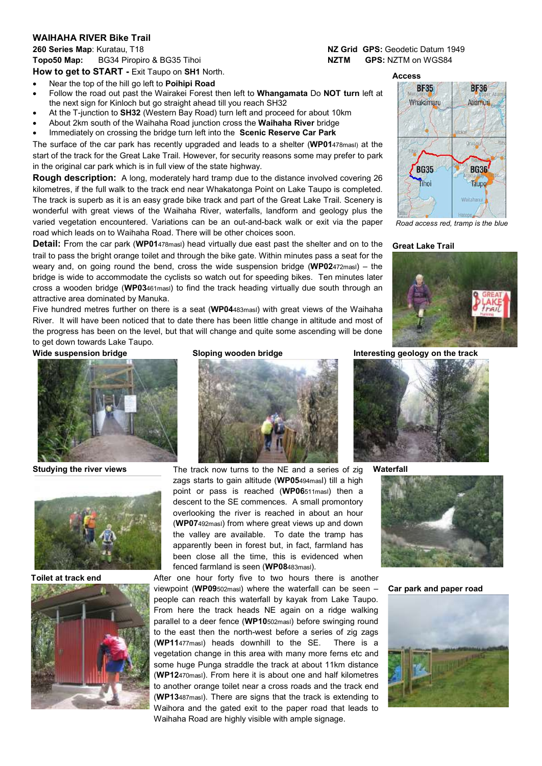## **WAIHAHA RIVER Bike Trail**

**260 Series Map**: Kuratau, T18 **NZ Grid GPS:** Geodetic Datum 1949 **Topo50 Map:** BG34 Piropiro & BG35 Tihoi **NATM GPS How to get to START -** Exit Taupo on **SH1** North.

- Near the top of the hill go left to **Poihipi Road**
- Follow the road out past the Wairakei Forest then left to **Whangamata** Do **NOT turn** left at the next sign for Kinloch but go straight ahead till you reach SH32
- At the T-junction to **SH32** (Western Bay Road) turn left and proceed for about 10km
- About 2km south of the Waihaha Road junction cross the **Waihaha River** bridge
- Immediately on crossing the bridge turn left into the **Scenic Reserve Car Park**

The surface of the car park has recently upgraded and leads to a shelter (**WP01**478masl) at the start of the track for the Great Lake Trail. However, for security reasons some may prefer to park in the original car park which is in full view of the state highway.

**Rough description:** A long, moderately hard tramp due to the distance involved covering 26 kilometres, if the full walk to the track end near Whakatonga Point on Lake Taupo is completed. The track is superb as it is an easy grade bike track and part of the Great Lake Trail. Scenery is wonderful with great views of the Waihaha River, waterfalls, landform and geology plus the varied vegetation encountered. Variations can be an out-and-back walk or exit via the paper road which leads on to Waihaha Road. There will be other choices soon.

**Detail:** From the car park (**WP01**478masl) head virtually due east past the shelter and on to the trail to pass the bright orange toilet and through the bike gate. Within minutes pass a seat for the weary and, on going round the bend, cross the wide suspension bridge (**WP02**472masl) – the bridge is wide to accommodate the cyclists so watch out for speeding bikes. Ten minutes later cross a wooden bridge (**WP03**461masl) to find the track heading virtually due south through an attractive area dominated by Manuka.

Five hundred metres further on there is a seat (**WP04**483masl) with great views of the Waihaha River. It will have been noticed that to date there has been little change in altitude and most of the progress has been on the level, but that will change and quite some ascending will be done to get down towards Lake Taupo.









**Studying the river views** The track now turns to the NE and a series of zig zags starts to gain altitude (**WP05**494masl) till a high point or pass is reached (**WP06**511masl) then a descent to the SE commences. A small promontory overlooking the river is reached in about an hour (**WP07**492masl) from where great views up and down the valley are available. To date the tramp has apparently been in forest but, in fact, farmland has been close all the time, this is evidenced when fenced farmland is seen (**WP08**483masl).

**Toilet at track end** After one hour forty five to two hours there is another viewpoint (**WP09**502masl) where the waterfall can be seen – people can reach this waterfall by kayak from Lake Taupo. From here the track heads NE again on a ridge walking parallel to a deer fence (**WP10**502masl) before swinging round to the east then the north-west before a series of zig zags (**WP11**477masl) heads downhill to the SE. There is a vegetation change in this area with many more ferns etc and some huge Punga straddle the track at about 11km distance (**WP12**470masl). From here it is about one and half kilometres to another orange toilet near a cross roads and the track end (**WP13**487masl). There are signs that the track is extending to Waihora and the gated exit to the paper road that leads to Waihaha Road are highly visible with ample signage.

**Access**



*Road access red, tramp is the blue*

## **Great Lake Trail**



**Wide suspension bridge Sloping wooden bridge Interesting geology on the track**



**Waterfall**



**Car park and paper road**